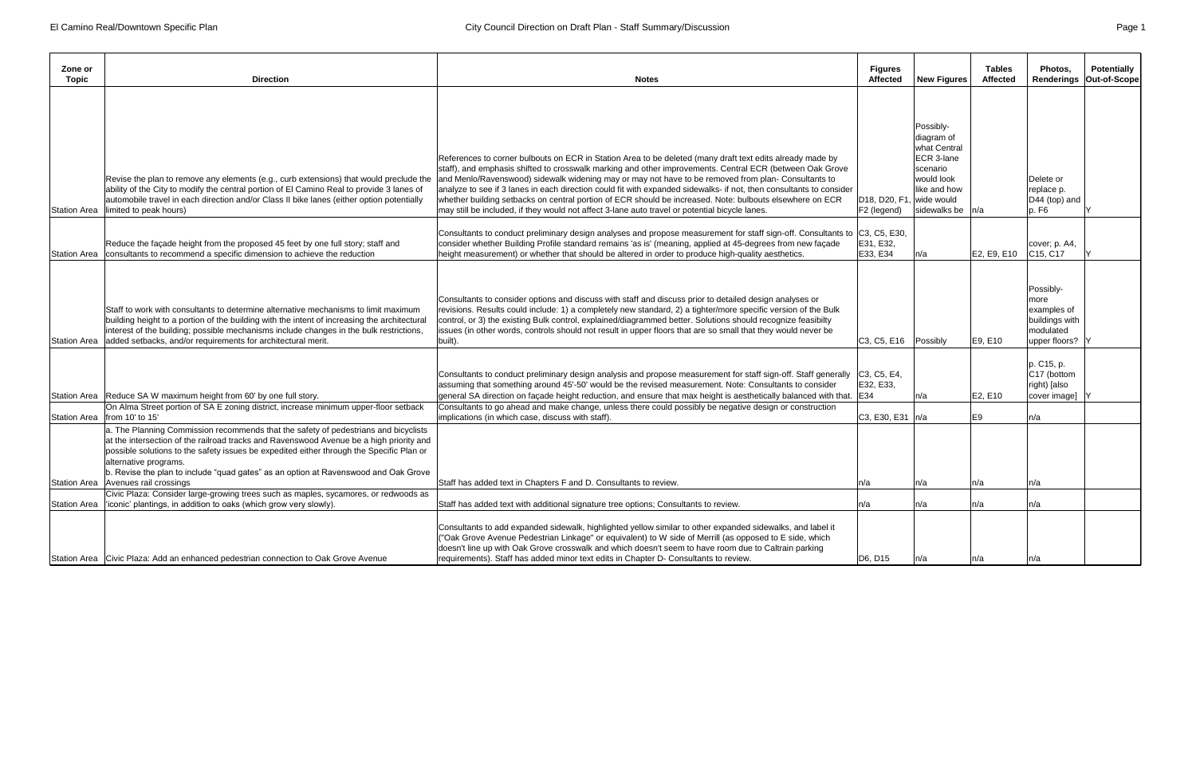| Zone or<br>Topic               | <b>Direction</b>                                                                                                                                                                                                                                                                                                                                                                                                                  | <b>Notes</b>                                                                                                                                                                                                                                                                                                                                                                                                                                                                                                                                                                                                                                                      | <b>Figures</b><br><b>Affected</b>                                              | <b>New Figures</b>                                                                                                      | <b>Tables</b><br><b>Affected</b> | Photos.<br><b>Renderings</b>                                                        | <b>Potentially</b><br>Out-of-Scope |
|--------------------------------|-----------------------------------------------------------------------------------------------------------------------------------------------------------------------------------------------------------------------------------------------------------------------------------------------------------------------------------------------------------------------------------------------------------------------------------|-------------------------------------------------------------------------------------------------------------------------------------------------------------------------------------------------------------------------------------------------------------------------------------------------------------------------------------------------------------------------------------------------------------------------------------------------------------------------------------------------------------------------------------------------------------------------------------------------------------------------------------------------------------------|--------------------------------------------------------------------------------|-------------------------------------------------------------------------------------------------------------------------|----------------------------------|-------------------------------------------------------------------------------------|------------------------------------|
| <b>Station Area</b>            | Revise the plan to remove any elements (e.g., curb extensions) that would preclude the<br>ability of the City to modify the central portion of El Camino Real to provide 3 lanes of<br>automobile travel in each direction and/or Class II bike lanes (either option potentially<br>limited to peak hours)                                                                                                                        | References to corner bulbouts on ECR in Station Area to be deleted (many draft text edits already made by<br>staff), and emphasis shifted to crosswalk marking and other improvements. Central ECR (between Oak Grove<br>and Menlo/Ravenswood) sidewalk widening may or may not have to be removed from plan- Consultants to<br>analyze to see if 3 lanes in each direction could fit with expanded sidewalks- if not, then consultants to consider<br>whether building setbacks on central portion of ECR should be increased. Note: bulbouts elsewhere on ECR<br>may still be included, if they would not affect 3-lane auto travel or potential bicycle lanes. | D <sub>18</sub> , D <sub>20</sub> , F <sub>1</sub> , wide would<br>F2 (legend) | Possibly-<br>diagram of<br>what Central<br>ECR 3-lane<br>scenario<br>would look<br>like and how<br>sidewalks be $ n/a $ |                                  | Delete or<br>replace p.<br>D44 (top) and<br>p. F6                                   |                                    |
| <b>Station Area</b>            | Reduce the façade height from the proposed 45 feet by one full story; staff and<br>consultants to recommend a specific dimension to achieve the reduction                                                                                                                                                                                                                                                                         | Consultants to conduct preliminary design analyses and propose measurement for staff sign-off. Consultants to C3, C5, E30,<br>consider whether Building Profile standard remains 'as is' (meaning, applied at 45-degrees from new façade<br>height measurement) or whether that should be altered in order to produce high-quality aesthetics.                                                                                                                                                                                                                                                                                                                    | E31, E32,<br>E33, E34                                                          | n/a                                                                                                                     | E2, E9, E10                      | cover; p. A4,<br>C15, C17                                                           |                                    |
|                                | Staff to work with consultants to determine alternative mechanisms to limit maximum<br>building height to a portion of the building with the intent of increasing the architectural<br>interest of the building; possible mechanisms include changes in the bulk restrictions,<br>Station Area added setbacks, and/or requirements for architectural merit.                                                                       | Consultants to consider options and discuss with staff and discuss prior to detailed design analyses or<br>revisions. Results could include: 1) a completely new standard, 2) a tighter/more specific version of the Bulk<br>control, or 3) the existing Bulk control, explained/diagrammed better. Solutions should recognize feasibilty<br>issues (in other words, controls should not result in upper floors that are so small that they would never be<br>built).                                                                                                                                                                                             | $ C3, C5, E16$ Possibly                                                        |                                                                                                                         | E9, E10                          | Possibly-<br>more<br>examples of<br>buildings with<br>modulated<br>upper floors?  \ |                                    |
|                                | Station Area Reduce SA W maximum height from 60' by one full story.<br>On Alma Street portion of SA E zoning district, increase minimum upper-floor setback                                                                                                                                                                                                                                                                       | Consultants to conduct preliminary design analysis and propose measurement for staff sign-off. Staff generally<br>assuming that something around 45'-50' would be the revised measurement. Note: Consultants to consider<br>general SA direction on façade height reduction, and ensure that max height is aesthetically balanced with that. [E34<br>Consultants to go ahead and make change, unless there could possibly be negative design or construction                                                                                                                                                                                                      | C3, C5, E4,<br>E32, E33,                                                       | ln/a                                                                                                                    | E2, E10                          | p. C15, p.<br>C17 (bottom<br>right) [also<br>cover image]                           |                                    |
| Station Area   from 10' to 15' | a. The Planning Commission recommends that the safety of pedestrians and bicyclists<br>at the intersection of the railroad tracks and Ravenswood Avenue be a high priority and<br>possible solutions to the safety issues be expedited either through the Specific Plan or<br>alternative programs.<br>b. Revise the plan to include "quad gates" as an option at Ravenswood and Oak Grove<br>Station Area Avenues rail crossings | implications (in which case, discuss with staff).<br>Staff has added text in Chapters F and D. Consultants to review.                                                                                                                                                                                                                                                                                                                                                                                                                                                                                                                                             | C3, E30, E31 n/a<br>In/a                                                       | n/a                                                                                                                     | E9<br>n/a                        | n/a<br>n/a                                                                          |                                    |
|                                | Civic Plaza: Consider large-growing trees such as maples, sycamores, or redwoods as                                                                                                                                                                                                                                                                                                                                               |                                                                                                                                                                                                                                                                                                                                                                                                                                                                                                                                                                                                                                                                   |                                                                                |                                                                                                                         |                                  |                                                                                     |                                    |
|                                | Station Area   'iconic' plantings, in addition to oaks (which grow very slowly).                                                                                                                                                                                                                                                                                                                                                  | Staff has added text with additional signature tree options; Consultants to review.                                                                                                                                                                                                                                                                                                                                                                                                                                                                                                                                                                               | n/a                                                                            | n/a                                                                                                                     | n/a                              | n/a                                                                                 |                                    |
|                                | Station Area   Civic Plaza: Add an enhanced pedestrian connection to Oak Grove Avenue                                                                                                                                                                                                                                                                                                                                             | Consultants to add expanded sidewalk, highlighted yellow similar to other expanded sidewalks, and label it<br>("Oak Grove Avenue Pedestrian Linkage" or equivalent) to W side of Merrill (as opposed to E side, which<br>doesn't line up with Oak Grove crosswalk and which doesn't seem to have room due to Caltrain parking<br>requirements). Staff has added minor text edits in Chapter D- Consultants to review.                                                                                                                                                                                                                                             | D6, D15                                                                        |                                                                                                                         |                                  | n/a                                                                                 |                                    |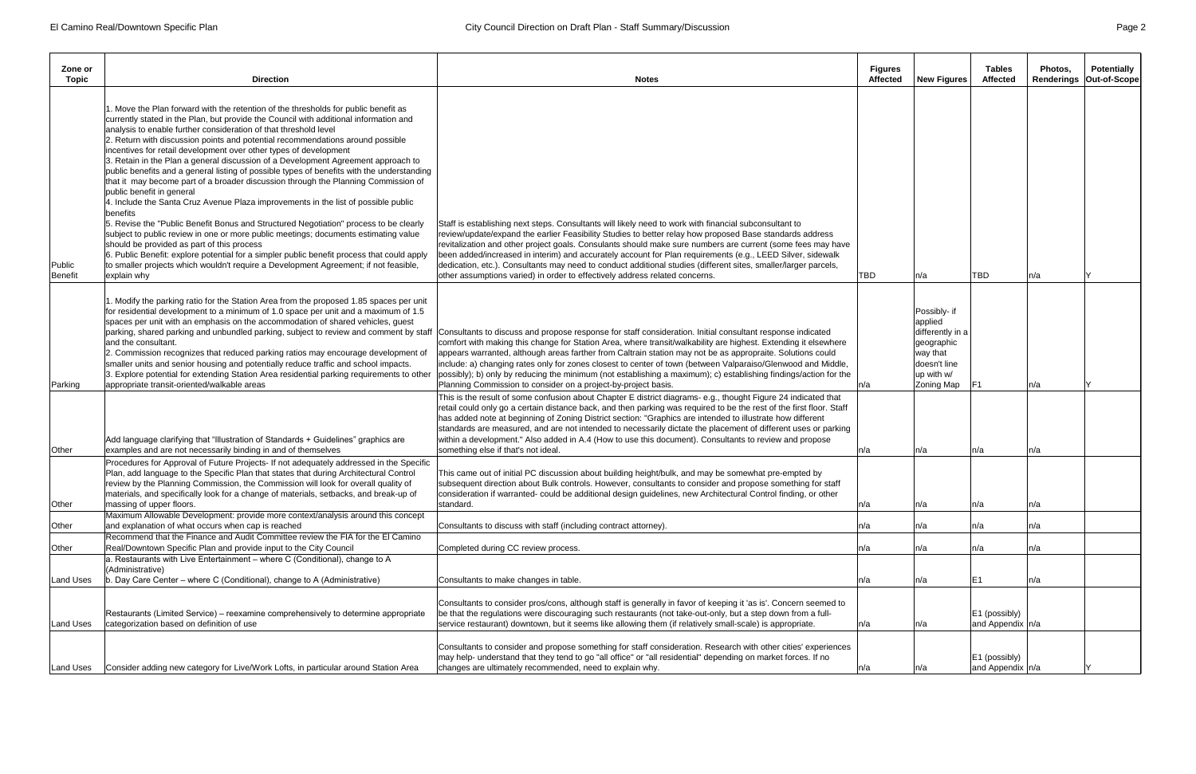| Zone or<br>Topic         | <b>Direction</b>                                                                                                                                                                                                                                                                                                                                                                                                                                                                                                                                                                                                                                                                                                                                                                                                                                                                                                                                                                                                                                                                                                                                                                                                                                  | <b>Notes</b>                                                                                                                                                                                                                                                                                                                                                                                                                                                                                                                                                                                                                                      | <b>Figures</b><br><b>Affected</b> | <b>New Figures</b>                                                                                                | Tables<br><b>Affected</b>              | Photos.<br><b>Renderings</b> | <b>Potentially</b><br>Out-of-Scope |
|--------------------------|---------------------------------------------------------------------------------------------------------------------------------------------------------------------------------------------------------------------------------------------------------------------------------------------------------------------------------------------------------------------------------------------------------------------------------------------------------------------------------------------------------------------------------------------------------------------------------------------------------------------------------------------------------------------------------------------------------------------------------------------------------------------------------------------------------------------------------------------------------------------------------------------------------------------------------------------------------------------------------------------------------------------------------------------------------------------------------------------------------------------------------------------------------------------------------------------------------------------------------------------------|---------------------------------------------------------------------------------------------------------------------------------------------------------------------------------------------------------------------------------------------------------------------------------------------------------------------------------------------------------------------------------------------------------------------------------------------------------------------------------------------------------------------------------------------------------------------------------------------------------------------------------------------------|-----------------------------------|-------------------------------------------------------------------------------------------------------------------|----------------------------------------|------------------------------|------------------------------------|
|                          |                                                                                                                                                                                                                                                                                                                                                                                                                                                                                                                                                                                                                                                                                                                                                                                                                                                                                                                                                                                                                                                                                                                                                                                                                                                   |                                                                                                                                                                                                                                                                                                                                                                                                                                                                                                                                                                                                                                                   |                                   |                                                                                                                   |                                        |                              |                                    |
| Public<br><b>Benefit</b> | . Move the Plan forward with the retention of the thresholds for public benefit as<br>currently stated in the Plan, but provide the Council with additional information and<br>analysis to enable further consideration of that threshold level<br>2. Return with discussion points and potential recommendations around possible<br>incentives for retail development over other types of development<br>3. Retain in the Plan a general discussion of a Development Agreement approach to<br>public benefits and a general listing of possible types of benefits with the understanding<br>that it may become part of a broader discussion through the Planning Commission of<br>public benefit in general<br>4. Include the Santa Cruz Avenue Plaza improvements in the list of possible public<br>benefits<br>5. Revise the "Public Benefit Bonus and Structured Negotiation" process to be clearly<br>subject to public review in one or more public meetings; documents estimating value<br>should be provided as part of this process<br>6. Public Benefit: explore potential for a simpler public benefit process that could apply<br>to smaller projects which wouldn't require a Development Agreement; if not feasible,<br>explain why | Staff is establishing next steps. Consultants will likely need to work with financial subconsultant to<br>review/update/expand the earlier Feasibility Studies to better relay how proposed Base standards address<br>revitalization and other project goals. Consulants should make sure numbers are current (some fees may have<br>been added/increased in interim) and accurately account for Plan requirements (e.g., LEED Silver, sidewalk<br>dedication, etc.). Consultants may need to conduct additional studies (different sites, smaller/larger parcels,<br>other assumptions varied) in order to effectively address related concerns. | <b>TBD</b>                        | n/a                                                                                                               | <b>TBD</b>                             | n/a                          |                                    |
|                          |                                                                                                                                                                                                                                                                                                                                                                                                                                                                                                                                                                                                                                                                                                                                                                                                                                                                                                                                                                                                                                                                                                                                                                                                                                                   |                                                                                                                                                                                                                                                                                                                                                                                                                                                                                                                                                                                                                                                   |                                   |                                                                                                                   |                                        |                              |                                    |
| Parking                  | . Modify the parking ratio for the Station Area from the proposed 1.85 spaces per unit<br>for residential development to a minimum of 1.0 space per unit and a maximum of 1.5<br>spaces per unit with an emphasis on the accommodation of shared vehicles, guest<br>parking, shared parking and unbundled parking, subject to review and comment by staff<br>land the consultant.<br>2. Commission recognizes that reduced parking ratios may encourage development of<br>smaller units and senior housing and potentially reduce traffic and school impacts.<br>3. Explore potential for extending Station Area residential parking requirements to other<br>appropriate transit-oriented/walkable areas                                                                                                                                                                                                                                                                                                                                                                                                                                                                                                                                         | Consultants to discuss and propose response for staff consideration. Initial consultant response indicated<br>comfort with making this change for Station Area, where transit/walkability are highest. Extending it elsewhere<br>appears warranted, although areas farther from Caltrain station may not be as appropraite. Solutions could<br>include: a) changing rates only for zones closest to center of town (between Valparaiso/Glenwood and Middle,<br>possibly); b) only by reducing the minimum (not establishing a maximum); c) establishing findings/action for the<br>Planning Commission to consider on a project-by-project basis. | n/a                               | Possibly- if<br>applied<br>differently in a<br>geographic<br>way that<br>doesn't line<br>up with w/<br>Zoning Map | IF1                                    | ∣n/a                         |                                    |
| Other                    | Add language clarifying that "Illustration of Standards + Guidelines" graphics are<br>examples and are not necessarily binding in and of themselves                                                                                                                                                                                                                                                                                                                                                                                                                                                                                                                                                                                                                                                                                                                                                                                                                                                                                                                                                                                                                                                                                               | This is the result of some confusion about Chapter E district diagrams- e.g., thought Figure 24 indicated that<br>retail could only go a certain distance back, and then parking was required to be the rest of the first floor. Staff<br>has added note at beginning of Zoning District section: "Graphics are intended to illustrate how different<br>standards are measured, and are not intended to necessarily dictate the placement of different uses or parking<br>within a development." Also added in A.4 (How to use this document). Consultants to review and propose<br>something else if that's not ideal.                           | n/a                               | n/a                                                                                                               | n/a                                    | ∣n/a                         |                                    |
|                          | Procedures for Approval of Future Projects- If not adequately addressed in the Specific<br>Plan, add language to the Specific Plan that states that during Architectural Control<br>review by the Planning Commission, the Commission will look for overall quality of<br>materials, and specifically look for a change of materials, setbacks, and break-up of                                                                                                                                                                                                                                                                                                                                                                                                                                                                                                                                                                                                                                                                                                                                                                                                                                                                                   | This came out of initial PC discussion about building height/bulk, and may be somewhat pre-empted by<br>subsequent direction about Bulk controls. However, consultants to consider and propose something for staff<br>consideration if warranted- could be additional design guidelines, new Architectural Control finding, or other                                                                                                                                                                                                                                                                                                              |                                   |                                                                                                                   |                                        |                              |                                    |
| Other                    | massing of upper floors.<br>Maximum Allowable Development: provide more context/analysis around this concept                                                                                                                                                                                                                                                                                                                                                                                                                                                                                                                                                                                                                                                                                                                                                                                                                                                                                                                                                                                                                                                                                                                                      | standard.                                                                                                                                                                                                                                                                                                                                                                                                                                                                                                                                                                                                                                         | n/a                               | n/a                                                                                                               | n/a                                    | n/a                          |                                    |
| Other                    | and explanation of what occurs when cap is reached                                                                                                                                                                                                                                                                                                                                                                                                                                                                                                                                                                                                                                                                                                                                                                                                                                                                                                                                                                                                                                                                                                                                                                                                | Consultants to discuss with staff (including contract attorney).                                                                                                                                                                                                                                                                                                                                                                                                                                                                                                                                                                                  | n/a                               | n/a                                                                                                               | n/a                                    | ∣n/a                         |                                    |
| Other                    | Recommend that the Finance and Audit Committee review the FIA for the EI Camino<br>Real/Downtown Specific Plan and provide input to the City Council                                                                                                                                                                                                                                                                                                                                                                                                                                                                                                                                                                                                                                                                                                                                                                                                                                                                                                                                                                                                                                                                                              | Completed during CC review process.                                                                                                                                                                                                                                                                                                                                                                                                                                                                                                                                                                                                               | n/a                               | n/a                                                                                                               | n/a                                    | n/a                          |                                    |
| <b>Land Uses</b>         | $ a$ . Restaurants with Live Entertainment – where C (Conditional), change to A<br>(Administrative)<br>b. Day Care Center – where C (Conditional), change to A (Administrative)                                                                                                                                                                                                                                                                                                                                                                                                                                                                                                                                                                                                                                                                                                                                                                                                                                                                                                                                                                                                                                                                   | Consultants to make changes in table.                                                                                                                                                                                                                                                                                                                                                                                                                                                                                                                                                                                                             | n/a                               | n/a                                                                                                               | E <sub>1</sub>                         | n/a                          |                                    |
| <b>Land Uses</b>         | Restaurants (Limited Service) – reexamine comprehensively to determine appropriate<br>categorization based on definition of use                                                                                                                                                                                                                                                                                                                                                                                                                                                                                                                                                                                                                                                                                                                                                                                                                                                                                                                                                                                                                                                                                                                   | Consultants to consider pros/cons, although staff is generally in favor of keeping it 'as is'. Concern seemed to<br>be that the regulations were discouraging such restaurants (not take-out-only, but a step down from a full-<br>service restaurant) downtown, but it seems like allowing them (if relatively small-scale) is appropriate.                                                                                                                                                                                                                                                                                                      | n/a                               | n/a                                                                                                               | $ E1$ (possibly)<br>and Appendix   n/a |                              |                                    |
| Land Uses                | Consider adding new category for Live/Work Lofts, in particular around Station Area                                                                                                                                                                                                                                                                                                                                                                                                                                                                                                                                                                                                                                                                                                                                                                                                                                                                                                                                                                                                                                                                                                                                                               | Consultants to consider and propose something for staff consideration. Research with other cities' experiences<br>may help- understand that they tend to go "all office" or "all residential" depending on market forces. If no<br>changes are ultimately recommended, need to explain why.                                                                                                                                                                                                                                                                                                                                                       | n/a                               | n/a                                                                                                               | $ E1$ (possibly)<br>and Appendix n/a   |                              |                                    |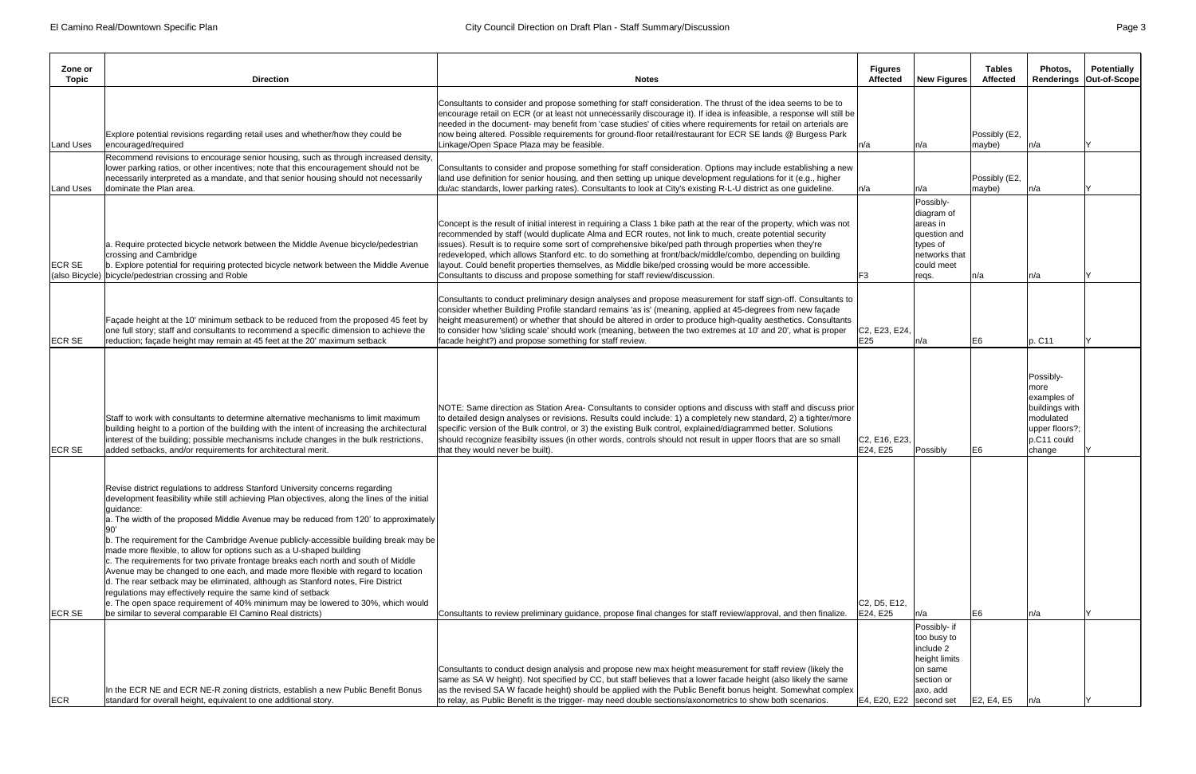| Zone or<br><b>Topic</b> | <b>Direction</b>                                                                                                                                                                                                                                                                                                                                                                                                                                                                                                                                                                                                                                                                                                                                                                                                                                                                                                                         | <b>Notes</b>                                                                                                                                                                                                                                                                                                                                                                                                                                                                                                                                                                                                                              | <b>Figures</b><br>Affected | <b>New Figures</b>                                                                                      | <b>Tables</b><br><b>Affected</b> | Photos.<br>Renderings                                                                                        | <b>Potentially</b><br>Out-of-Scope |
|-------------------------|------------------------------------------------------------------------------------------------------------------------------------------------------------------------------------------------------------------------------------------------------------------------------------------------------------------------------------------------------------------------------------------------------------------------------------------------------------------------------------------------------------------------------------------------------------------------------------------------------------------------------------------------------------------------------------------------------------------------------------------------------------------------------------------------------------------------------------------------------------------------------------------------------------------------------------------|-------------------------------------------------------------------------------------------------------------------------------------------------------------------------------------------------------------------------------------------------------------------------------------------------------------------------------------------------------------------------------------------------------------------------------------------------------------------------------------------------------------------------------------------------------------------------------------------------------------------------------------------|----------------------------|---------------------------------------------------------------------------------------------------------|----------------------------------|--------------------------------------------------------------------------------------------------------------|------------------------------------|
| Land Uses               | Explore potential revisions regarding retail uses and whether/how they could be<br>encouraged/required<br>Recommend revisions to encourage senior housing, such as through increased density,                                                                                                                                                                                                                                                                                                                                                                                                                                                                                                                                                                                                                                                                                                                                            | Consultants to consider and propose something for staff consideration. The thrust of the idea seems to be to<br>encourage retail on ECR (or at least not unnecessarily discourage it). If idea is infeasible, a response will still be<br>needed in the document- may benefit from 'case studies' of cities where requirements for retail on arterials are<br>now being altered. Possible requirements for ground-floor retail/restaurant for ECR SE lands @ Burgess Park<br>Linkage/Open Space Plaza may be feasible.                                                                                                                    | ∣n/a                       | n/a                                                                                                     | Possibly (E2,<br>maybe)          | n/a                                                                                                          |                                    |
| Land Uses               | lower parking ratios, or other incentives; note that this encouragement should not be<br>necessarily interpreted as a mandate, and that senior housing should not necessarily<br>dominate the Plan area.                                                                                                                                                                                                                                                                                                                                                                                                                                                                                                                                                                                                                                                                                                                                 | Consultants to consider and propose something for staff consideration. Options may include establishing a new<br>land use definition for senior housing, and then setting up unique development regulations for it (e.g., higher<br>du/ac standards, lower parking rates). Consultants to look at City's existing R-L-U district as one guideline.                                                                                                                                                                                                                                                                                        | ∣n/a                       | n/a                                                                                                     | Possibly (E2,<br>maybe)          | n/a                                                                                                          |                                    |
| <b>ECR SE</b>           | a. Require protected bicycle network between the Middle Avenue bicycle/pedestrian<br>crossing and Cambridge<br>b. Explore potential for requiring protected bicycle network between the Middle Avenue<br>(also Bicycle) bicycle/pedestrian crossing and Roble                                                                                                                                                                                                                                                                                                                                                                                                                                                                                                                                                                                                                                                                            | Concept is the result of initial interest in requiring a Class 1 bike path at the rear of the property, which was not<br>recommended by staff (would duplicate Alma and ECR routes, not link to much, create potential security<br>issues). Result is to require some sort of comprehensive bike/ped path through properties when they're<br>redeveloped, which allows Stanford etc. to do something at front/back/middle/combo, depending on building<br>layout. Could benefit properties themselves, as Middle bike/ped crossing would be more accessible.<br>Consultants to discuss and propose something for staff review/discussion. | F <sub>3</sub>             | Possibly-<br>diagram of<br>areas in<br>question and<br>types of<br>networks that<br>could meet<br>reqs. | n/a                              | n/a                                                                                                          |                                    |
| <b>ECR SE</b>           | Façade height at the 10' minimum setback to be reduced from the proposed 45 feet by<br>one full story; staff and consultants to recommend a specific dimension to achieve the<br>reduction; façade height may remain at 45 feet at the 20' maximum setback                                                                                                                                                                                                                                                                                                                                                                                                                                                                                                                                                                                                                                                                               | Consultants to conduct preliminary design analyses and propose measurement for staff sign-off. Consultants to<br>consider whether Building Profile standard remains 'as is' (meaning, applied at 45-degrees from new façade<br>height measurement) or whether that should be altered in order to produce high-quality aesthetics. Consultants<br>to consider how 'sliding scale' should work (meaning, between the two extremes at 10' and 20', what is proper<br>facade height?) and propose something for staff review.                                                                                                                 | C2, E23, E24<br>E25        | n/a                                                                                                     | E6                               | p. C11                                                                                                       |                                    |
| <b>ECR SE</b>           | Staff to work with consultants to determine alternative mechanisms to limit maximum<br>building height to a portion of the building with the intent of increasing the architectural<br>interest of the building; possible mechanisms include changes in the bulk restrictions,<br>added setbacks, and/or requirements for architectural merit.                                                                                                                                                                                                                                                                                                                                                                                                                                                                                                                                                                                           | NOTE: Same direction as Station Area- Consultants to consider options and discuss with staff and discuss prior<br>to detailed design analyses or revisions. Results could include: 1) a completely new standard, 2) a tighter/more<br>specific version of the Bulk control, or 3) the existing Bulk control, explained/diagrammed better. Solutions<br>should recognize feasibilty issues (in other words, controls should not result in upper floors that are so small<br>that they would never be built).                                                                                                                               | C2, E16, E23,<br>E24, E25  | Possibly                                                                                                | E6.                              | Possibly-<br>more<br>examples of<br>buildings with<br>modulated<br>upper floors?;<br>$p.C11$ could<br>change |                                    |
| <b>ECR SE</b>           | Revise district regulations to address Stanford University concerns regarding<br>development feasibility while still achieving Plan objectives, along the lines of the initial<br>quidance:<br>$ a$ . The width of the proposed Middle Avenue may be reduced from 120' to approximately<br>b. The requirement for the Cambridge Avenue publicly-accessible building break may be<br>made more flexible, to allow for options such as a U-shaped building<br>c. The requirements for two private frontage breaks each north and south of Middle<br>Avenue may be changed to one each, and made more flexible with regard to location<br>d. The rear setback may be eliminated, although as Stanford notes, Fire District<br>regulations may effectively require the same kind of setback<br>e. The open space requirement of 40% minimum may be lowered to 30%, which would<br>be similar to several comparable El Camino Real districts) | Consultants to review preliminary guidance, propose final changes for staff review/approval, and then finalize.                                                                                                                                                                                                                                                                                                                                                                                                                                                                                                                           | C2, D5, E12,<br>E24, E25   | n/a                                                                                                     | E6                               | n/a                                                                                                          |                                    |
|                         |                                                                                                                                                                                                                                                                                                                                                                                                                                                                                                                                                                                                                                                                                                                                                                                                                                                                                                                                          | Consultants to conduct design analysis and propose new max height measurement for staff review (likely the                                                                                                                                                                                                                                                                                                                                                                                                                                                                                                                                |                            | Possibly- if<br>too busy to<br>include 2<br>height limits<br>on same                                    |                                  |                                                                                                              |                                    |
| ECR                     | In the ECR NE and ECR NE-R zoning districts, establish a new Public Benefit Bonus<br>standard for overall height, equivalent to one additional story.                                                                                                                                                                                                                                                                                                                                                                                                                                                                                                                                                                                                                                                                                                                                                                                    | same as SA W height). Not specified by CC, but staff believes that a lower facade height (also likely the same<br>as the revised SA W facade height) should be applied with the Public Benefit bonus height. Somewhat complex<br>to relay, as Public Benefit is the trigger- may need double sections/axonometrics to show both scenarios.                                                                                                                                                                                                                                                                                                | E4, E20, E22   second set  | section or<br>axo, add                                                                                  | E2, E4, E5                       | ln/a                                                                                                         |                                    |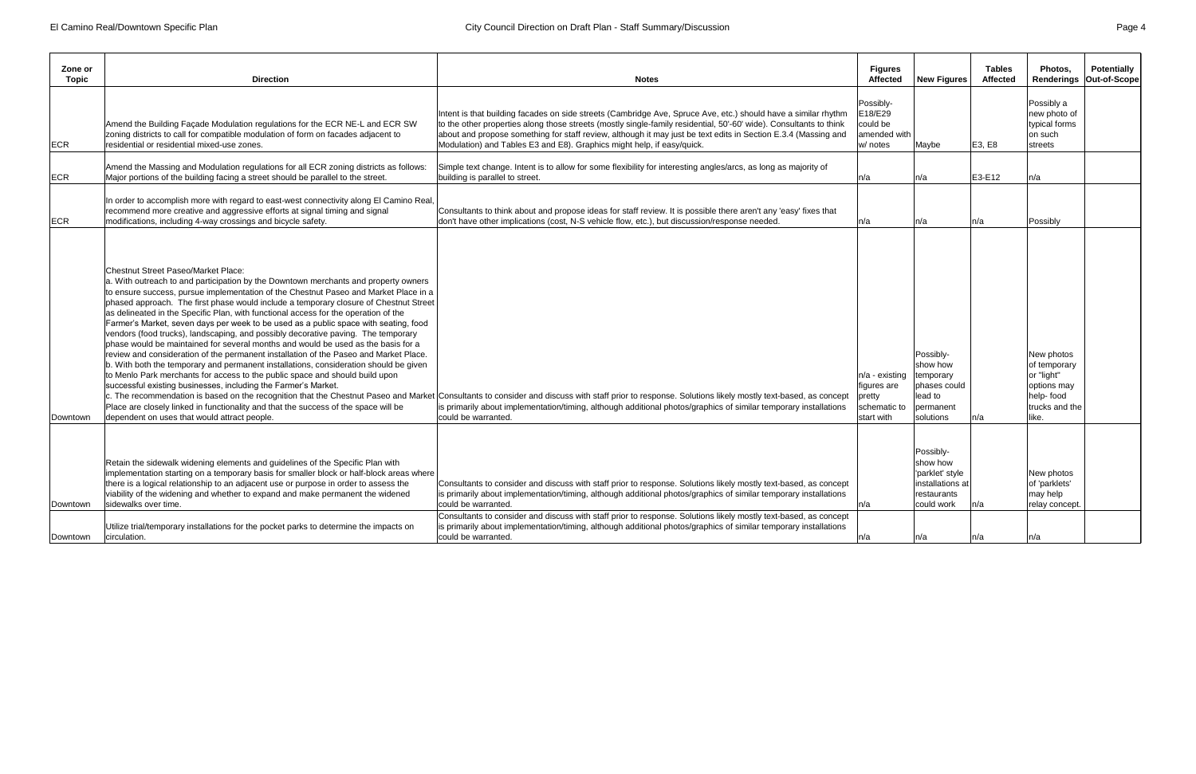| Zone or<br>Topic | <b>Direction</b>                                                                                                                                                                                                                                                                                                                                                                                                                                                                                                                                                                                                                                                                                                                                                                                                                                                                                                                                                                                                                                                                                                                                       | <b>Notes</b>                                                                                                                                                                                                                                                                                                                                                                                                                     | <b>Figures</b><br><b>Affected</b>                                     | New Figures                                                                               | <b>Tables</b><br><b>Affected</b> | Photos.                                                                                         | Potentially<br>Renderings   Out-of-Scope |
|------------------|--------------------------------------------------------------------------------------------------------------------------------------------------------------------------------------------------------------------------------------------------------------------------------------------------------------------------------------------------------------------------------------------------------------------------------------------------------------------------------------------------------------------------------------------------------------------------------------------------------------------------------------------------------------------------------------------------------------------------------------------------------------------------------------------------------------------------------------------------------------------------------------------------------------------------------------------------------------------------------------------------------------------------------------------------------------------------------------------------------------------------------------------------------|----------------------------------------------------------------------------------------------------------------------------------------------------------------------------------------------------------------------------------------------------------------------------------------------------------------------------------------------------------------------------------------------------------------------------------|-----------------------------------------------------------------------|-------------------------------------------------------------------------------------------|----------------------------------|-------------------------------------------------------------------------------------------------|------------------------------------------|
| <b>IECR</b>      | Amend the Building Façade Modulation regulations for the ECR NE-L and ECR SW<br>zoning districts to call for compatible modulation of form on facades adjacent to<br>residential or residential mixed-use zones.                                                                                                                                                                                                                                                                                                                                                                                                                                                                                                                                                                                                                                                                                                                                                                                                                                                                                                                                       | Intent is that building facades on side streets (Cambridge Ave, Spruce Ave, etc.) should have a similar rhythm<br>to the other properties along those streets (mostly single-family residential, 50'-60' wide). Consultants to think<br>about and propose something for staff review, although it may just be text edits in Section E.3.4 (Massing and<br>Modulation) and Tables E3 and E8). Graphics might help, if easy/quick. | Possibly-<br>E18/E29<br>could be<br>amended with<br>w/ notes          | Maybe                                                                                     | E3, E8                           | Possibly a<br>new photo of<br>typical forms<br>on such<br>streets                               |                                          |
| <b>ECR</b>       | Amend the Massing and Modulation regulations for all ECR zoning districts as follows:<br>Major portions of the building facing a street should be parallel to the street.                                                                                                                                                                                                                                                                                                                                                                                                                                                                                                                                                                                                                                                                                                                                                                                                                                                                                                                                                                              | Simple text change. Intent is to allow for some flexibility for interesting angles/arcs, as long as majority of<br>building is parallel to street.                                                                                                                                                                                                                                                                               | ∣n/a                                                                  | n/a                                                                                       | E3-E12                           | n/a                                                                                             |                                          |
| <b>IECR</b>      | In order to accomplish more with regard to east-west connectivity along El Camino Real,<br>recommend more creative and aggressive efforts at signal timing and signal<br>modifications, including 4-way crossings and bicycle safety.                                                                                                                                                                                                                                                                                                                                                                                                                                                                                                                                                                                                                                                                                                                                                                                                                                                                                                                  | Consultants to think about and propose ideas for staff review. It is possible there aren't any 'easy' fixes that<br>don't have other implications (cost, N-S vehicle flow, etc.), but discussion/response needed.                                                                                                                                                                                                                | ∣n/a                                                                  | n/a                                                                                       | n/a                              | Possibly                                                                                        |                                          |
| Downtown         | <b>Chestnut Street Paseo/Market Place:</b><br>a. With outreach to and participation by the Downtown merchants and property owners<br>to ensure success, pursue implementation of the Chestnut Paseo and Market Place in a<br>phased approach. The first phase would include a temporary closure of Chestnut Street<br>as delineated in the Specific Plan, with functional access for the operation of the<br>Farmer's Market, seven days per week to be used as a public space with seating, food<br>vendors (food trucks), landscaping, and possibly decorative paving. The temporary<br>phase would be maintained for several months and would be used as the basis for a<br>review and consideration of the permanent installation of the Paseo and Market Place.<br>b. With both the temporary and permanent installations, consideration should be given<br>to Menlo Park merchants for access to the public space and should build upon<br>successful existing businesses, including the Farmer's Market.<br>Place are closely linked in functionality and that the success of the space will be<br>dependent on uses that would attract people. | c. The recommendation is based on the recognition that the Chestnut Paseo and Market Consultants to consider and discuss with staff prior to response. Solutions likely mostly text-based, as concept<br>is primarily about implementation/timing, although additional photos/graphics of similar temporary installations<br>could be warranted                                                                                  | n/a - existing<br>figures are<br>pretty<br>schematic to<br>start with | Possibly-<br>show how<br>temporary<br>phases could<br>lead to<br>permanent<br>solutions   | n/a                              | New photos<br>of temporary<br>or "light"<br>options may<br>help-food<br>trucks and the<br>like. |                                          |
| Downtown         | Retain the sidewalk widening elements and guidelines of the Specific Plan with<br>implementation starting on a temporary basis for smaller block or half-block areas where<br>there is a logical relationship to an adjacent use or purpose in order to assess the<br>viability of the widening and whether to expand and make permanent the widened<br>sidewalks over time.                                                                                                                                                                                                                                                                                                                                                                                                                                                                                                                                                                                                                                                                                                                                                                           | Consultants to consider and discuss with staff prior to response. Solutions likely mostly text-based, as concept<br>is primarily about implementation/timing, although additional photos/graphics of similar temporary installations<br>could be warranted.<br>Consultants to consider and discuss with staff prior to response. Solutions likely mostly text-based, as concept                                                  | In/a                                                                  | Possibly-<br>show how<br>'parklet' style<br>installations at<br>restaurants<br>could work | n/a                              | New photos<br>of 'parklets'<br>may help<br>relay concept.                                       |                                          |
| Downtown         | Utilize trial/temporary installations for the pocket parks to determine the impacts on<br>circulation.                                                                                                                                                                                                                                                                                                                                                                                                                                                                                                                                                                                                                                                                                                                                                                                                                                                                                                                                                                                                                                                 | is primarily about implementation/timing, although additional photos/graphics of similar temporary installations<br>could be warranted.                                                                                                                                                                                                                                                                                          | ∣n/a                                                                  | n/a                                                                                       | n/a                              | n/a                                                                                             |                                          |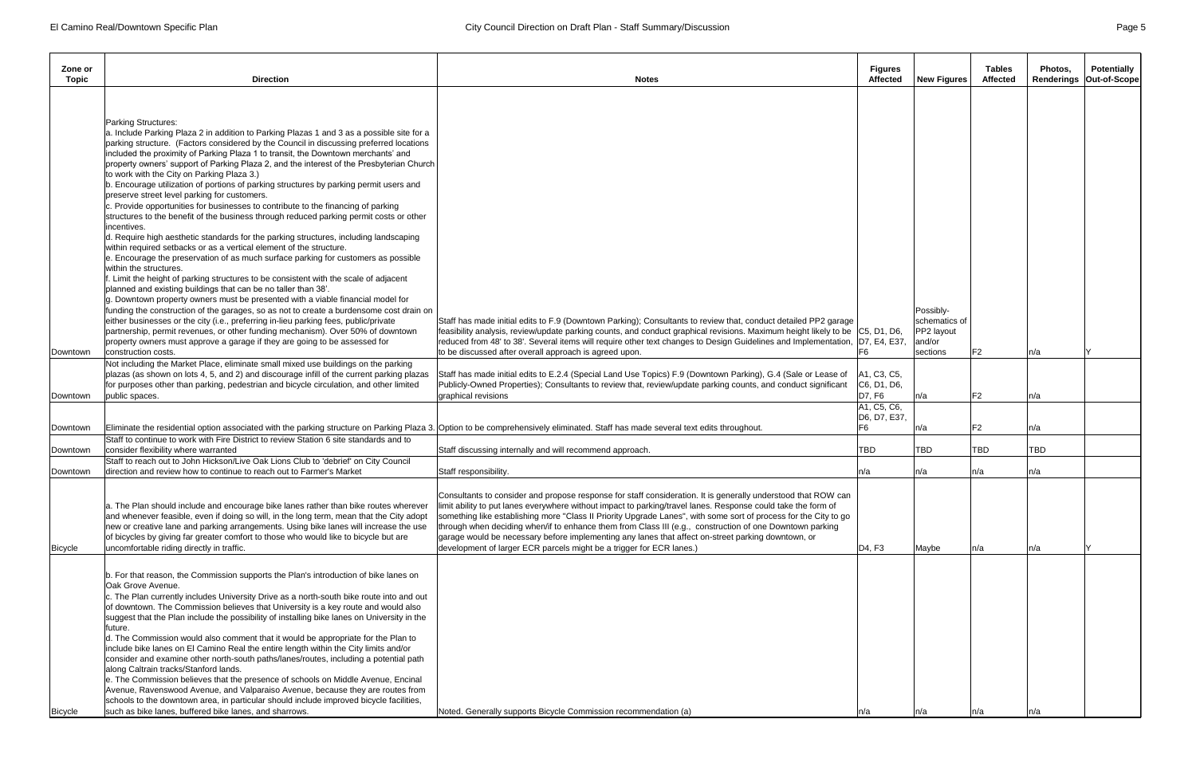| Zone or<br>Topic     | <b>Direction</b>                                                                                                                                                                                                                                                                                                                                                                                                                                                                                                                                                                                                                                                                                                                                                                                                                                                                                                                                                                                                                                                    | <b>Notes</b>                                                                                                                                                                                                                                                                                                                                                                                                                                                                                                                                                                                                                                 | <b>Figures</b><br><b>Affected</b>                                                  | New Figures                                        | <b>Tables</b><br><b>Affected</b> | Photos.<br>Renderings | <b>Potentially</b><br>Out-of-Scope |
|----------------------|---------------------------------------------------------------------------------------------------------------------------------------------------------------------------------------------------------------------------------------------------------------------------------------------------------------------------------------------------------------------------------------------------------------------------------------------------------------------------------------------------------------------------------------------------------------------------------------------------------------------------------------------------------------------------------------------------------------------------------------------------------------------------------------------------------------------------------------------------------------------------------------------------------------------------------------------------------------------------------------------------------------------------------------------------------------------|----------------------------------------------------------------------------------------------------------------------------------------------------------------------------------------------------------------------------------------------------------------------------------------------------------------------------------------------------------------------------------------------------------------------------------------------------------------------------------------------------------------------------------------------------------------------------------------------------------------------------------------------|------------------------------------------------------------------------------------|----------------------------------------------------|----------------------------------|-----------------------|------------------------------------|
|                      | Parking Structures:<br>a. Include Parking Plaza 2 in addition to Parking Plazas 1 and 3 as a possible site for a<br>parking structure. (Factors considered by the Council in discussing preferred locations<br>included the proximity of Parking Plaza 1 to transit, the Downtown merchants' and<br>property owners' support of Parking Plaza 2, and the interest of the Presbyterian Church<br>to work with the City on Parking Plaza 3.)<br>b. Encourage utilization of portions of parking structures by parking permit users and<br>preserve street level parking for customers.<br>c. Provide opportunities for businesses to contribute to the financing of parking<br>structures to the benefit of the business through reduced parking permit costs or other<br>incentives.<br>d. Require high aesthetic standards for the parking structures, including landscaping<br>within required setbacks or as a vertical element of the structure.<br>e. Encourage the preservation of as much surface parking for customers as possible<br>within the structures. |                                                                                                                                                                                                                                                                                                                                                                                                                                                                                                                                                                                                                                              |                                                                                    |                                                    |                                  |                       |                                    |
|                      | f. Limit the height of parking structures to be consistent with the scale of adjacent<br>planned and existing buildings that can be no taller than 38'.<br>$ g$ . Downtown property owners must be presented with a viable financial model for<br>funding the construction of the garages, so as not to create a burdensome cost drain on<br>either businesses or the city (i.e., preferring in-lieu parking fees, public/private<br>partnership, permit revenues, or other funding mechanism). Over 50% of downtown<br>property owners must approve a garage if they are going to be assessed for                                                                                                                                                                                                                                                                                                                                                                                                                                                                  | Staff has made initial edits to F.9 (Downtown Parking); Consultants to review that, conduct detailed PP2 garage<br>feasibility analysis, review/update parking counts, and conduct graphical revisions. Maximum height likely to be C5, D1, D6,<br>reduced from 48' to 38'. Several items will require other text changes to Design Guidelines and Implementation, D7, E4, E37,                                                                                                                                                                                                                                                              |                                                                                    | Possibly-<br>schematics of<br>PP2 layout<br>and/or |                                  |                       |                                    |
| Downtown             | construction costs.<br>Not including the Market Place, eliminate small mixed use buildings on the parking<br>plazas (as shown on lots 4, 5, and 2) and discourage infill of the current parking plazas<br>for purposes other than parking, pedestrian and bicycle circulation, and other limited                                                                                                                                                                                                                                                                                                                                                                                                                                                                                                                                                                                                                                                                                                                                                                    | to be discussed after overall approach is agreed upon.<br>Staff has made initial edits to E.2.4 (Special Land Use Topics) F.9 (Downtown Parking), G.4 (Sale or Lease of<br>Publicly-Owned Properties); Consultants to review that, review/update parking counts, and conduct significant                                                                                                                                                                                                                                                                                                                                                     | IF6<br>A1, C3, C5,<br> C6, D1, D6,                                                 | sections                                           | F <sub>2</sub>                   | n/a                   |                                    |
| Downtown<br>Downtown | public spaces.<br>Eliminate the residential option associated with the parking structure on Parking Plaza 3. Option to be comprehensively eliminated. Staff has made several text edits throughout.                                                                                                                                                                                                                                                                                                                                                                                                                                                                                                                                                                                                                                                                                                                                                                                                                                                                 | graphical revisions                                                                                                                                                                                                                                                                                                                                                                                                                                                                                                                                                                                                                          | D7, F6<br>A <sub>1</sub> , C <sub>5</sub> , C <sub>6</sub> ,<br>D6, D7, E37,<br>F6 | ∣n/a<br> n/a                                       | F <sub>2</sub><br>F <sub>2</sub> | n/a<br>n/a            |                                    |
| Downtown             | Staff to continue to work with Fire District to review Station 6 site standards and to<br>consider flexibility where warranted                                                                                                                                                                                                                                                                                                                                                                                                                                                                                                                                                                                                                                                                                                                                                                                                                                                                                                                                      | Staff discussing internally and will recommend approach.                                                                                                                                                                                                                                                                                                                                                                                                                                                                                                                                                                                     | <b>TBD</b>                                                                         | TBD                                                | TBD                              | TBD                   |                                    |
| Downtown             | Staff to reach out to John Hickson/Live Oak Lions Club to 'debrief' on City Council<br>direction and review how to continue to reach out to Farmer's Market                                                                                                                                                                                                                                                                                                                                                                                                                                                                                                                                                                                                                                                                                                                                                                                                                                                                                                         | Staff responsibility.                                                                                                                                                                                                                                                                                                                                                                                                                                                                                                                                                                                                                        | ln/a                                                                               | n/a                                                | n/a                              | n/a                   |                                    |
| <b>Bicycle</b>       | a. The Plan should include and encourage bike lanes rather than bike routes wherever<br>and whenever feasible, even if doing so will, in the long term, mean that the City adopt<br>new or creative lane and parking arrangements. Using bike lanes will increase the use<br>of bicycles by giving far greater comfort to those who would like to bicycle but are<br>uncomfortable riding directly in traffic.                                                                                                                                                                                                                                                                                                                                                                                                                                                                                                                                                                                                                                                      | Consultants to consider and propose response for staff consideration. It is generally understood that ROW can<br>limit ability to put lanes everywhere without impact to parking/travel lanes. Response could take the form of<br>something like establishing more "Class II Priority Upgrade Lanes", with some sort of process for the City to go<br>through when deciding when/if to enhance them from Class III (e.g., construction of one Downtown parking<br>garage would be necessary before implementing any lanes that affect on-street parking downtown, or<br>development of larger ECR parcels might be a trigger for ECR lanes.) | D4, F3                                                                             | Maybe                                              | n/a                              | n/a                   |                                    |
| <b>Bicycle</b>       | b. For that reason, the Commission supports the Plan's introduction of bike lanes on<br>Oak Grove Avenue.<br>c. The Plan currently includes University Drive as a north-south bike route into and out<br>of downtown. The Commission believes that University is a key route and would also<br>suggest that the Plan include the possibility of installing bike lanes on University in the<br> future.<br>d. The Commission would also comment that it would be appropriate for the Plan to<br>include bike lanes on El Camino Real the entire length within the City limits and/or<br>consider and examine other north-south paths/lanes/routes, including a potential path<br>along Caltrain tracks/Stanford lands.<br>e. The Commission believes that the presence of schools on Middle Avenue, Encinal<br>Avenue, Ravenswood Avenue, and Valparaiso Avenue, because they are routes from<br>schools to the downtown area, in particular should include improved bicycle facilities,<br>such as bike lanes, buffered bike lanes, and sharrows.                   | Noted. Generally supports Bicycle Commission recommendation (a)                                                                                                                                                                                                                                                                                                                                                                                                                                                                                                                                                                              | In/a                                                                               | ln/a                                               | n/a                              | n/a                   |                                    |